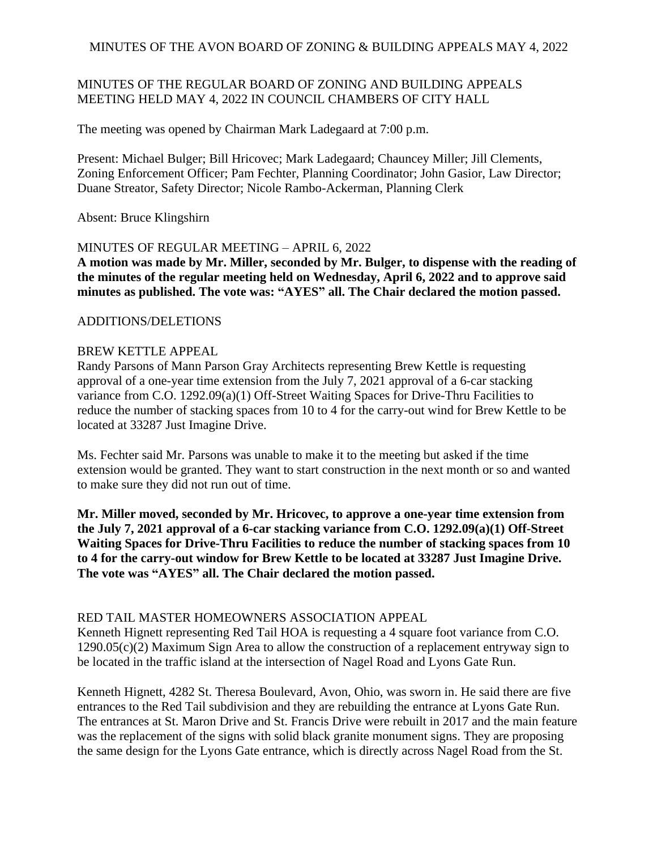## MINUTES OF THE REGULAR BOARD OF ZONING AND BUILDING APPEALS MEETING HELD MAY 4, 2022 IN COUNCIL CHAMBERS OF CITY HALL

The meeting was opened by Chairman Mark Ladegaard at 7:00 p.m.

Present: Michael Bulger; Bill Hricovec; Mark Ladegaard; Chauncey Miller; Jill Clements, Zoning Enforcement Officer; Pam Fechter, Planning Coordinator; John Gasior, Law Director; Duane Streator, Safety Director; Nicole Rambo-Ackerman, Planning Clerk

Absent: Bruce Klingshirn

### MINUTES OF REGULAR MEETING – APRIL 6, 2022

**A motion was made by Mr. Miller, seconded by Mr. Bulger, to dispense with the reading of the minutes of the regular meeting held on Wednesday, April 6, 2022 and to approve said minutes as published. The vote was: "AYES" all. The Chair declared the motion passed.**

#### ADDITIONS/DELETIONS

### BREW KETTLE APPEAL

Randy Parsons of Mann Parson Gray Architects representing Brew Kettle is requesting approval of a one-year time extension from the July 7, 2021 approval of a 6-car stacking variance from C.O. 1292.09(a)(1) Off-Street Waiting Spaces for Drive-Thru Facilities to reduce the number of stacking spaces from 10 to 4 for the carry-out wind for Brew Kettle to be located at 33287 Just Imagine Drive.

Ms. Fechter said Mr. Parsons was unable to make it to the meeting but asked if the time extension would be granted. They want to start construction in the next month or so and wanted to make sure they did not run out of time.

**Mr. Miller moved, seconded by Mr. Hricovec, to approve a one-year time extension from the July 7, 2021 approval of a 6-car stacking variance from C.O. 1292.09(a)(1) Off-Street Waiting Spaces for Drive-Thru Facilities to reduce the number of stacking spaces from 10 to 4 for the carry-out window for Brew Kettle to be located at 33287 Just Imagine Drive. The vote was "AYES" all. The Chair declared the motion passed.**

### RED TAIL MASTER HOMEOWNERS ASSOCIATION APPEAL

Kenneth Hignett representing Red Tail HOA is requesting a 4 square foot variance from C.O. 1290.05(c)(2) Maximum Sign Area to allow the construction of a replacement entryway sign to be located in the traffic island at the intersection of Nagel Road and Lyons Gate Run.

Kenneth Hignett, 4282 St. Theresa Boulevard, Avon, Ohio, was sworn in. He said there are five entrances to the Red Tail subdivision and they are rebuilding the entrance at Lyons Gate Run. The entrances at St. Maron Drive and St. Francis Drive were rebuilt in 2017 and the main feature was the replacement of the signs with solid black granite monument signs. They are proposing the same design for the Lyons Gate entrance, which is directly across Nagel Road from the St.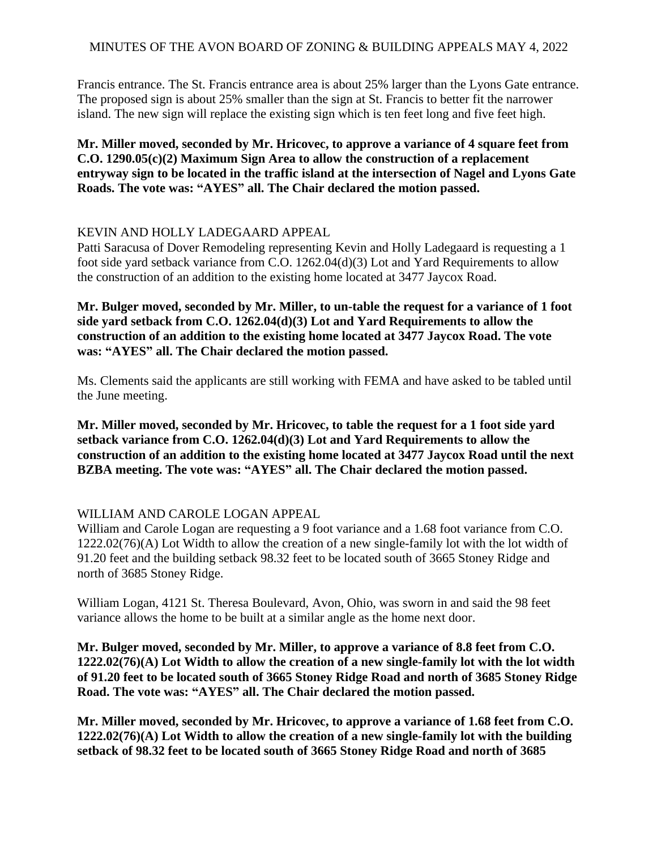Francis entrance. The St. Francis entrance area is about 25% larger than the Lyons Gate entrance. The proposed sign is about 25% smaller than the sign at St. Francis to better fit the narrower island. The new sign will replace the existing sign which is ten feet long and five feet high.

**Mr. Miller moved, seconded by Mr. Hricovec, to approve a variance of 4 square feet from C.O. 1290.05(c)(2) Maximum Sign Area to allow the construction of a replacement entryway sign to be located in the traffic island at the intersection of Nagel and Lyons Gate Roads. The vote was: "AYES" all. The Chair declared the motion passed.**

### KEVIN AND HOLLY LADEGAARD APPEAL

Patti Saracusa of Dover Remodeling representing Kevin and Holly Ladegaard is requesting a 1 foot side yard setback variance from C.O. 1262.04(d)(3) Lot and Yard Requirements to allow the construction of an addition to the existing home located at 3477 Jaycox Road.

**Mr. Bulger moved, seconded by Mr. Miller, to un-table the request for a variance of 1 foot side yard setback from C.O. 1262.04(d)(3) Lot and Yard Requirements to allow the construction of an addition to the existing home located at 3477 Jaycox Road. The vote was: "AYES" all. The Chair declared the motion passed.**

Ms. Clements said the applicants are still working with FEMA and have asked to be tabled until the June meeting.

**Mr. Miller moved, seconded by Mr. Hricovec, to table the request for a 1 foot side yard setback variance from C.O. 1262.04(d)(3) Lot and Yard Requirements to allow the construction of an addition to the existing home located at 3477 Jaycox Road until the next BZBA meeting. The vote was: "AYES" all. The Chair declared the motion passed.**

# WILLIAM AND CAROLE LOGAN APPEAL

William and Carole Logan are requesting a 9 foot variance and a 1.68 foot variance from C.O. 1222.02(76)(A) Lot Width to allow the creation of a new single-family lot with the lot width of 91.20 feet and the building setback 98.32 feet to be located south of 3665 Stoney Ridge and north of 3685 Stoney Ridge.

William Logan, 4121 St. Theresa Boulevard, Avon, Ohio, was sworn in and said the 98 feet variance allows the home to be built at a similar angle as the home next door.

**Mr. Bulger moved, seconded by Mr. Miller, to approve a variance of 8.8 feet from C.O. 1222.02(76)(A) Lot Width to allow the creation of a new single-family lot with the lot width of 91.20 feet to be located south of 3665 Stoney Ridge Road and north of 3685 Stoney Ridge Road. The vote was: "AYES" all. The Chair declared the motion passed.**

**Mr. Miller moved, seconded by Mr. Hricovec, to approve a variance of 1.68 feet from C.O. 1222.02(76)(A) Lot Width to allow the creation of a new single-family lot with the building setback of 98.32 feet to be located south of 3665 Stoney Ridge Road and north of 3685**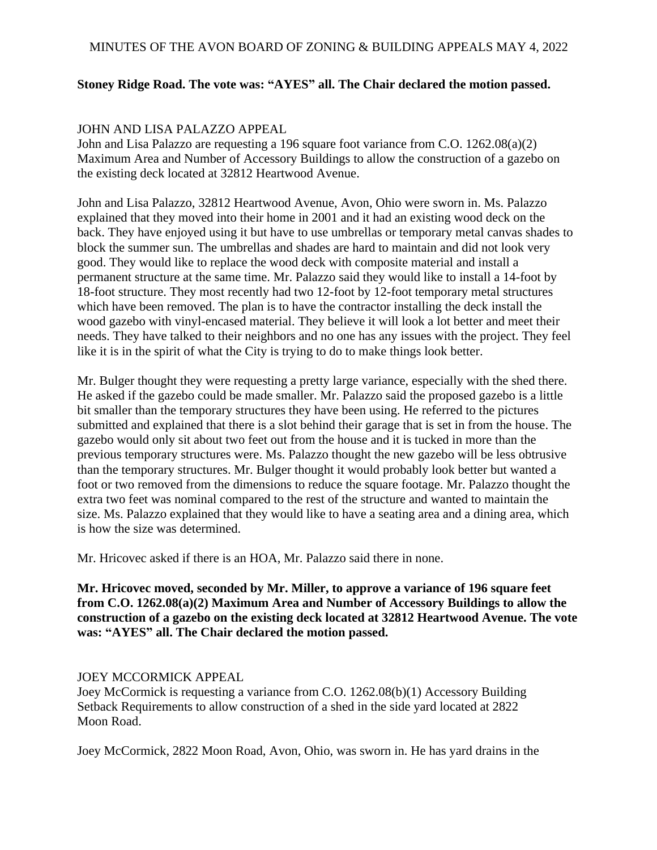## **Stoney Ridge Road. The vote was: "AYES" all. The Chair declared the motion passed.**

### JOHN AND LISA PALAZZO APPEAL

John and Lisa Palazzo are requesting a 196 square foot variance from C.O. 1262.08(a)(2) Maximum Area and Number of Accessory Buildings to allow the construction of a gazebo on the existing deck located at 32812 Heartwood Avenue.

John and Lisa Palazzo, 32812 Heartwood Avenue, Avon, Ohio were sworn in. Ms. Palazzo explained that they moved into their home in 2001 and it had an existing wood deck on the back. They have enjoyed using it but have to use umbrellas or temporary metal canvas shades to block the summer sun. The umbrellas and shades are hard to maintain and did not look very good. They would like to replace the wood deck with composite material and install a permanent structure at the same time. Mr. Palazzo said they would like to install a 14-foot by 18-foot structure. They most recently had two 12-foot by 12-foot temporary metal structures which have been removed. The plan is to have the contractor installing the deck install the wood gazebo with vinyl-encased material. They believe it will look a lot better and meet their needs. They have talked to their neighbors and no one has any issues with the project. They feel like it is in the spirit of what the City is trying to do to make things look better.

Mr. Bulger thought they were requesting a pretty large variance, especially with the shed there. He asked if the gazebo could be made smaller. Mr. Palazzo said the proposed gazebo is a little bit smaller than the temporary structures they have been using. He referred to the pictures submitted and explained that there is a slot behind their garage that is set in from the house. The gazebo would only sit about two feet out from the house and it is tucked in more than the previous temporary structures were. Ms. Palazzo thought the new gazebo will be less obtrusive than the temporary structures. Mr. Bulger thought it would probably look better but wanted a foot or two removed from the dimensions to reduce the square footage. Mr. Palazzo thought the extra two feet was nominal compared to the rest of the structure and wanted to maintain the size. Ms. Palazzo explained that they would like to have a seating area and a dining area, which is how the size was determined.

Mr. Hricovec asked if there is an HOA, Mr. Palazzo said there in none.

**Mr. Hricovec moved, seconded by Mr. Miller, to approve a variance of 196 square feet from C.O. 1262.08(a)(2) Maximum Area and Number of Accessory Buildings to allow the construction of a gazebo on the existing deck located at 32812 Heartwood Avenue. The vote was: "AYES" all. The Chair declared the motion passed.**

#### JOEY MCCORMICK APPEAL

Joey McCormick is requesting a variance from C.O. 1262.08(b)(1) Accessory Building Setback Requirements to allow construction of a shed in the side yard located at 2822 Moon Road.

Joey McCormick, 2822 Moon Road, Avon, Ohio, was sworn in. He has yard drains in the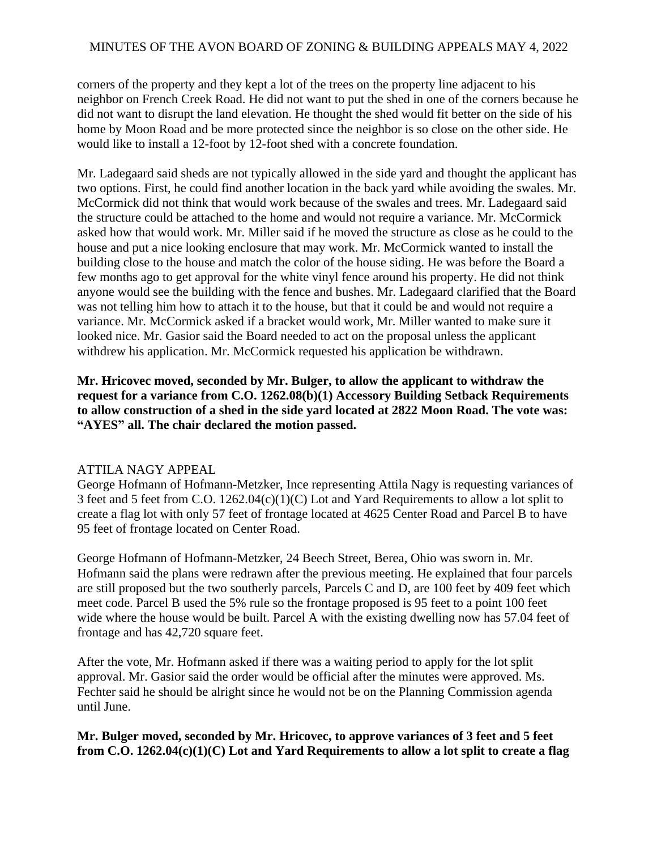corners of the property and they kept a lot of the trees on the property line adjacent to his neighbor on French Creek Road. He did not want to put the shed in one of the corners because he did not want to disrupt the land elevation. He thought the shed would fit better on the side of his home by Moon Road and be more protected since the neighbor is so close on the other side. He would like to install a 12-foot by 12-foot shed with a concrete foundation.

Mr. Ladegaard said sheds are not typically allowed in the side yard and thought the applicant has two options. First, he could find another location in the back yard while avoiding the swales. Mr. McCormick did not think that would work because of the swales and trees. Mr. Ladegaard said the structure could be attached to the home and would not require a variance. Mr. McCormick asked how that would work. Mr. Miller said if he moved the structure as close as he could to the house and put a nice looking enclosure that may work. Mr. McCormick wanted to install the building close to the house and match the color of the house siding. He was before the Board a few months ago to get approval for the white vinyl fence around his property. He did not think anyone would see the building with the fence and bushes. Mr. Ladegaard clarified that the Board was not telling him how to attach it to the house, but that it could be and would not require a variance. Mr. McCormick asked if a bracket would work, Mr. Miller wanted to make sure it looked nice. Mr. Gasior said the Board needed to act on the proposal unless the applicant withdrew his application. Mr. McCormick requested his application be withdrawn.

**Mr. Hricovec moved, seconded by Mr. Bulger, to allow the applicant to withdraw the request for a variance from C.O. 1262.08(b)(1) Accessory Building Setback Requirements to allow construction of a shed in the side yard located at 2822 Moon Road. The vote was: "AYES" all. The chair declared the motion passed.**

### ATTILA NAGY APPEAL

George Hofmann of Hofmann-Metzker, Ince representing Attila Nagy is requesting variances of 3 feet and 5 feet from C.O. 1262.04(c)(1)(C) Lot and Yard Requirements to allow a lot split to create a flag lot with only 57 feet of frontage located at 4625 Center Road and Parcel B to have 95 feet of frontage located on Center Road.

George Hofmann of Hofmann-Metzker, 24 Beech Street, Berea, Ohio was sworn in. Mr. Hofmann said the plans were redrawn after the previous meeting. He explained that four parcels are still proposed but the two southerly parcels, Parcels C and D, are 100 feet by 409 feet which meet code. Parcel B used the 5% rule so the frontage proposed is 95 feet to a point 100 feet wide where the house would be built. Parcel A with the existing dwelling now has 57.04 feet of frontage and has 42,720 square feet.

After the vote, Mr. Hofmann asked if there was a waiting period to apply for the lot split approval. Mr. Gasior said the order would be official after the minutes were approved. Ms. Fechter said he should be alright since he would not be on the Planning Commission agenda until June.

### **Mr. Bulger moved, seconded by Mr. Hricovec, to approve variances of 3 feet and 5 feet from C.O. 1262.04(c)(1)(C) Lot and Yard Requirements to allow a lot split to create a flag**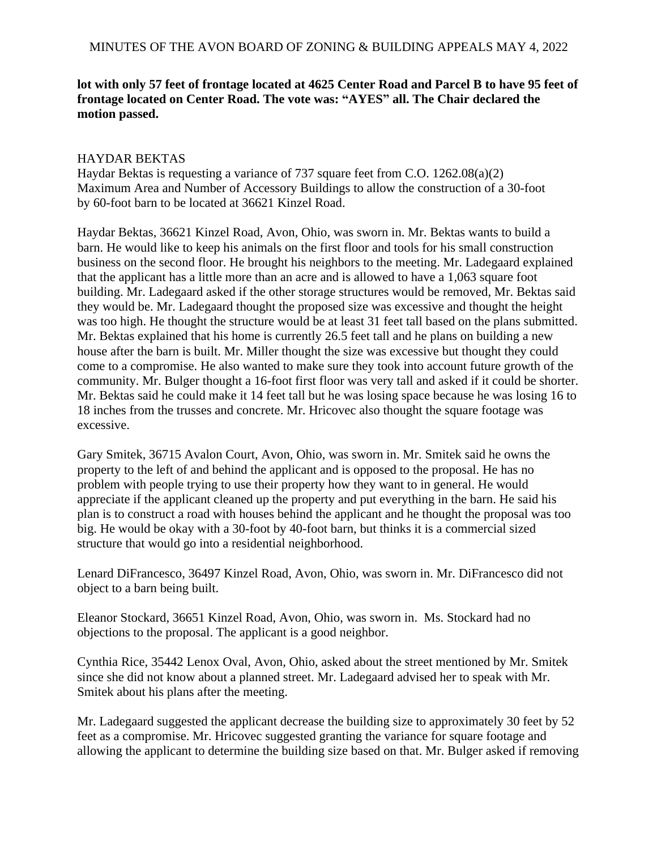# **lot with only 57 feet of frontage located at 4625 Center Road and Parcel B to have 95 feet of frontage located on Center Road. The vote was: "AYES" all. The Chair declared the motion passed.**

### HAYDAR BEKTAS

Haydar Bektas is requesting a variance of 737 square feet from C.O. 1262.08(a)(2) Maximum Area and Number of Accessory Buildings to allow the construction of a 30-foot by 60-foot barn to be located at 36621 Kinzel Road.

Haydar Bektas, 36621 Kinzel Road, Avon, Ohio, was sworn in. Mr. Bektas wants to build a barn. He would like to keep his animals on the first floor and tools for his small construction business on the second floor. He brought his neighbors to the meeting. Mr. Ladegaard explained that the applicant has a little more than an acre and is allowed to have a 1,063 square foot building. Mr. Ladegaard asked if the other storage structures would be removed, Mr. Bektas said they would be. Mr. Ladegaard thought the proposed size was excessive and thought the height was too high. He thought the structure would be at least 31 feet tall based on the plans submitted. Mr. Bektas explained that his home is currently 26.5 feet tall and he plans on building a new house after the barn is built. Mr. Miller thought the size was excessive but thought they could come to a compromise. He also wanted to make sure they took into account future growth of the community. Mr. Bulger thought a 16-foot first floor was very tall and asked if it could be shorter. Mr. Bektas said he could make it 14 feet tall but he was losing space because he was losing 16 to 18 inches from the trusses and concrete. Mr. Hricovec also thought the square footage was excessive.

Gary Smitek, 36715 Avalon Court, Avon, Ohio, was sworn in. Mr. Smitek said he owns the property to the left of and behind the applicant and is opposed to the proposal. He has no problem with people trying to use their property how they want to in general. He would appreciate if the applicant cleaned up the property and put everything in the barn. He said his plan is to construct a road with houses behind the applicant and he thought the proposal was too big. He would be okay with a 30-foot by 40-foot barn, but thinks it is a commercial sized structure that would go into a residential neighborhood.

Lenard DiFrancesco, 36497 Kinzel Road, Avon, Ohio, was sworn in. Mr. DiFrancesco did not object to a barn being built.

Eleanor Stockard, 36651 Kinzel Road, Avon, Ohio, was sworn in. Ms. Stockard had no objections to the proposal. The applicant is a good neighbor.

Cynthia Rice, 35442 Lenox Oval, Avon, Ohio, asked about the street mentioned by Mr. Smitek since she did not know about a planned street. Mr. Ladegaard advised her to speak with Mr. Smitek about his plans after the meeting.

Mr. Ladegaard suggested the applicant decrease the building size to approximately 30 feet by 52 feet as a compromise. Mr. Hricovec suggested granting the variance for square footage and allowing the applicant to determine the building size based on that. Mr. Bulger asked if removing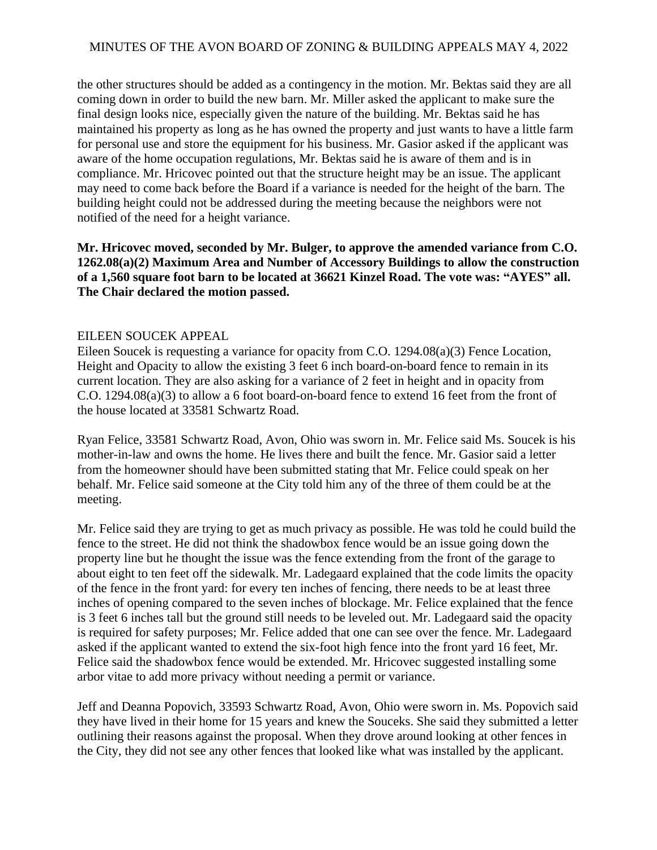the other structures should be added as a contingency in the motion. Mr. Bektas said they are all coming down in order to build the new barn. Mr. Miller asked the applicant to make sure the final design looks nice, especially given the nature of the building. Mr. Bektas said he has maintained his property as long as he has owned the property and just wants to have a little farm for personal use and store the equipment for his business. Mr. Gasior asked if the applicant was aware of the home occupation regulations, Mr. Bektas said he is aware of them and is in compliance. Mr. Hricovec pointed out that the structure height may be an issue. The applicant may need to come back before the Board if a variance is needed for the height of the barn. The building height could not be addressed during the meeting because the neighbors were not notified of the need for a height variance.

**Mr. Hricovec moved, seconded by Mr. Bulger, to approve the amended variance from C.O. 1262.08(a)(2) Maximum Area and Number of Accessory Buildings to allow the construction of a 1,560 square foot barn to be located at 36621 Kinzel Road. The vote was: "AYES" all. The Chair declared the motion passed.**

#### EILEEN SOUCEK APPEAL

Eileen Soucek is requesting a variance for opacity from C.O. 1294.08(a)(3) Fence Location, Height and Opacity to allow the existing 3 feet 6 inch board-on-board fence to remain in its current location. They are also asking for a variance of 2 feet in height and in opacity from C.O. 1294.08(a)(3) to allow a 6 foot board-on-board fence to extend 16 feet from the front of the house located at 33581 Schwartz Road.

Ryan Felice, 33581 Schwartz Road, Avon, Ohio was sworn in. Mr. Felice said Ms. Soucek is his mother-in-law and owns the home. He lives there and built the fence. Mr. Gasior said a letter from the homeowner should have been submitted stating that Mr. Felice could speak on her behalf. Mr. Felice said someone at the City told him any of the three of them could be at the meeting.

Mr. Felice said they are trying to get as much privacy as possible. He was told he could build the fence to the street. He did not think the shadowbox fence would be an issue going down the property line but he thought the issue was the fence extending from the front of the garage to about eight to ten feet off the sidewalk. Mr. Ladegaard explained that the code limits the opacity of the fence in the front yard: for every ten inches of fencing, there needs to be at least three inches of opening compared to the seven inches of blockage. Mr. Felice explained that the fence is 3 feet 6 inches tall but the ground still needs to be leveled out. Mr. Ladegaard said the opacity is required for safety purposes; Mr. Felice added that one can see over the fence. Mr. Ladegaard asked if the applicant wanted to extend the six-foot high fence into the front yard 16 feet, Mr. Felice said the shadowbox fence would be extended. Mr. Hricovec suggested installing some arbor vitae to add more privacy without needing a permit or variance.

Jeff and Deanna Popovich, 33593 Schwartz Road, Avon, Ohio were sworn in. Ms. Popovich said they have lived in their home for 15 years and knew the Souceks. She said they submitted a letter outlining their reasons against the proposal. When they drove around looking at other fences in the City, they did not see any other fences that looked like what was installed by the applicant.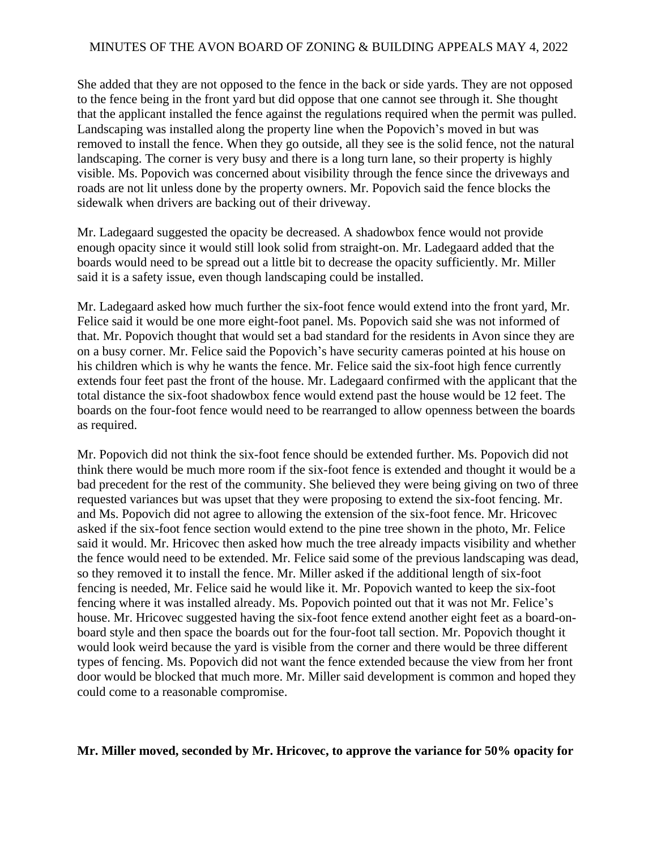She added that they are not opposed to the fence in the back or side yards. They are not opposed to the fence being in the front yard but did oppose that one cannot see through it. She thought that the applicant installed the fence against the regulations required when the permit was pulled. Landscaping was installed along the property line when the Popovich's moved in but was removed to install the fence. When they go outside, all they see is the solid fence, not the natural landscaping. The corner is very busy and there is a long turn lane, so their property is highly visible. Ms. Popovich was concerned about visibility through the fence since the driveways and roads are not lit unless done by the property owners. Mr. Popovich said the fence blocks the sidewalk when drivers are backing out of their driveway.

Mr. Ladegaard suggested the opacity be decreased. A shadowbox fence would not provide enough opacity since it would still look solid from straight-on. Mr. Ladegaard added that the boards would need to be spread out a little bit to decrease the opacity sufficiently. Mr. Miller said it is a safety issue, even though landscaping could be installed.

Mr. Ladegaard asked how much further the six-foot fence would extend into the front yard, Mr. Felice said it would be one more eight-foot panel. Ms. Popovich said she was not informed of that. Mr. Popovich thought that would set a bad standard for the residents in Avon since they are on a busy corner. Mr. Felice said the Popovich's have security cameras pointed at his house on his children which is why he wants the fence. Mr. Felice said the six-foot high fence currently extends four feet past the front of the house. Mr. Ladegaard confirmed with the applicant that the total distance the six-foot shadowbox fence would extend past the house would be 12 feet. The boards on the four-foot fence would need to be rearranged to allow openness between the boards as required.

Mr. Popovich did not think the six-foot fence should be extended further. Ms. Popovich did not think there would be much more room if the six-foot fence is extended and thought it would be a bad precedent for the rest of the community. She believed they were being giving on two of three requested variances but was upset that they were proposing to extend the six-foot fencing. Mr. and Ms. Popovich did not agree to allowing the extension of the six-foot fence. Mr. Hricovec asked if the six-foot fence section would extend to the pine tree shown in the photo, Mr. Felice said it would. Mr. Hricovec then asked how much the tree already impacts visibility and whether the fence would need to be extended. Mr. Felice said some of the previous landscaping was dead, so they removed it to install the fence. Mr. Miller asked if the additional length of six-foot fencing is needed, Mr. Felice said he would like it. Mr. Popovich wanted to keep the six-foot fencing where it was installed already. Ms. Popovich pointed out that it was not Mr. Felice's house. Mr. Hricovec suggested having the six-foot fence extend another eight feet as a board-onboard style and then space the boards out for the four-foot tall section. Mr. Popovich thought it would look weird because the yard is visible from the corner and there would be three different types of fencing. Ms. Popovich did not want the fence extended because the view from her front door would be blocked that much more. Mr. Miller said development is common and hoped they could come to a reasonable compromise.

#### **Mr. Miller moved, seconded by Mr. Hricovec, to approve the variance for 50% opacity for**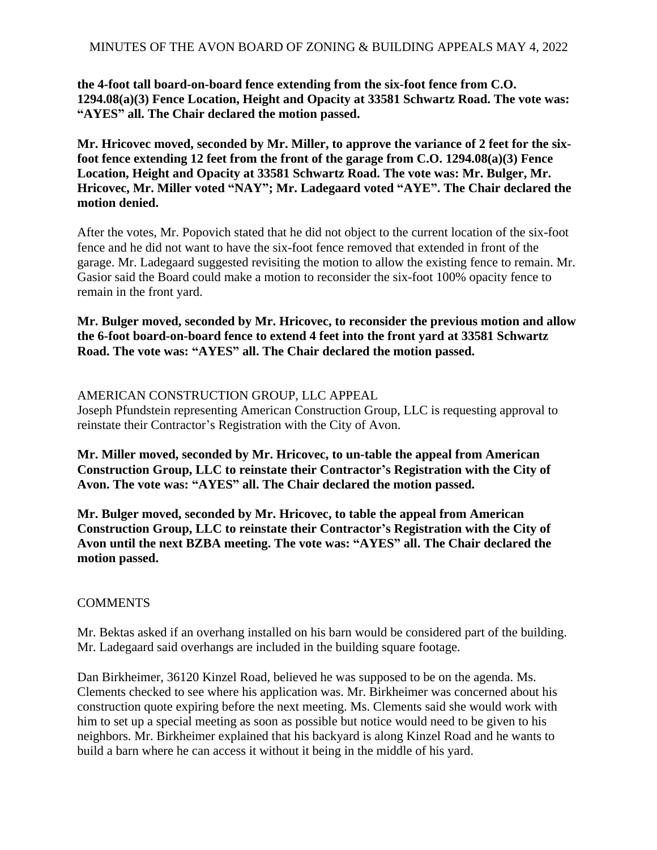**the 4-foot tall board-on-board fence extending from the six-foot fence from C.O. 1294.08(a)(3) Fence Location, Height and Opacity at 33581 Schwartz Road. The vote was: "AYES" all. The Chair declared the motion passed.**

**Mr. Hricovec moved, seconded by Mr. Miller, to approve the variance of 2 feet for the sixfoot fence extending 12 feet from the front of the garage from C.O. 1294.08(a)(3) Fence Location, Height and Opacity at 33581 Schwartz Road. The vote was: Mr. Bulger, Mr. Hricovec, Mr. Miller voted "NAY"; Mr. Ladegaard voted "AYE". The Chair declared the motion denied.** 

After the votes, Mr. Popovich stated that he did not object to the current location of the six-foot fence and he did not want to have the six-foot fence removed that extended in front of the garage. Mr. Ladegaard suggested revisiting the motion to allow the existing fence to remain. Mr. Gasior said the Board could make a motion to reconsider the six-foot 100% opacity fence to remain in the front yard.

**Mr. Bulger moved, seconded by Mr. Hricovec, to reconsider the previous motion and allow the 6-foot board-on-board fence to extend 4 feet into the front yard at 33581 Schwartz Road. The vote was: "AYES" all. The Chair declared the motion passed.**

### AMERICAN CONSTRUCTION GROUP, LLC APPEAL

Joseph Pfundstein representing American Construction Group, LLC is requesting approval to reinstate their Contractor's Registration with the City of Avon.

**Mr. Miller moved, seconded by Mr. Hricovec, to un-table the appeal from American Construction Group, LLC to reinstate their Contractor's Registration with the City of Avon. The vote was: "AYES" all. The Chair declared the motion passed.**

**Mr. Bulger moved, seconded by Mr. Hricovec, to table the appeal from American Construction Group, LLC to reinstate their Contractor's Registration with the City of Avon until the next BZBA meeting. The vote was: "AYES" all. The Chair declared the motion passed.**

### **COMMENTS**

Mr. Bektas asked if an overhang installed on his barn would be considered part of the building. Mr. Ladegaard said overhangs are included in the building square footage.

Dan Birkheimer, 36120 Kinzel Road, believed he was supposed to be on the agenda. Ms. Clements checked to see where his application was. Mr. Birkheimer was concerned about his construction quote expiring before the next meeting. Ms. Clements said she would work with him to set up a special meeting as soon as possible but notice would need to be given to his neighbors. Mr. Birkheimer explained that his backyard is along Kinzel Road and he wants to build a barn where he can access it without it being in the middle of his yard.